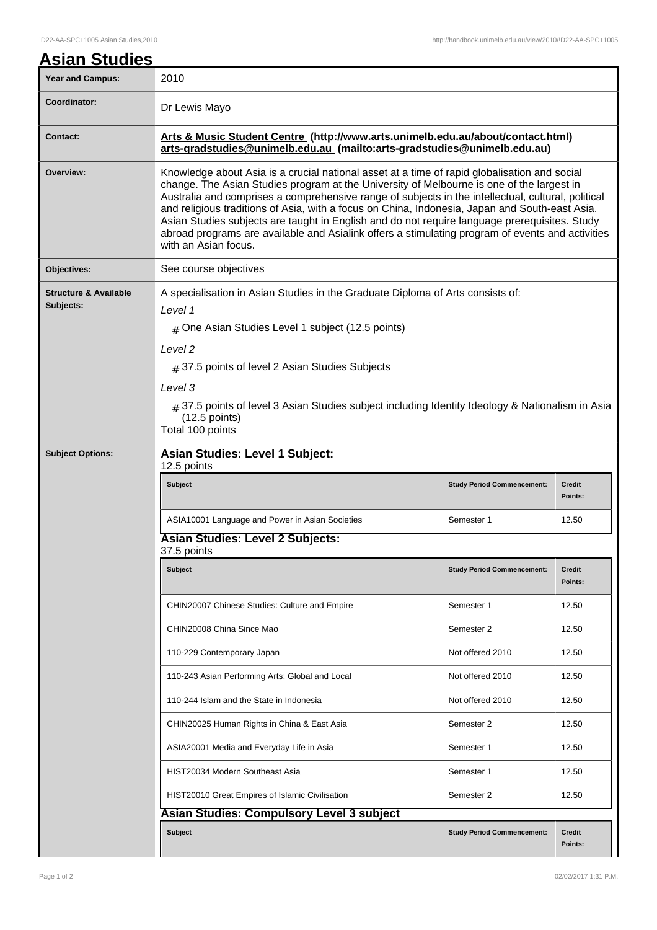| <b>Asian Studies</b>                          |                                                                                                                                                                                                                                                                                                                                                                                                                                                                                                                                                                                                                                |                                   |                          |  |  |
|-----------------------------------------------|--------------------------------------------------------------------------------------------------------------------------------------------------------------------------------------------------------------------------------------------------------------------------------------------------------------------------------------------------------------------------------------------------------------------------------------------------------------------------------------------------------------------------------------------------------------------------------------------------------------------------------|-----------------------------------|--------------------------|--|--|
| <b>Year and Campus:</b>                       | 2010                                                                                                                                                                                                                                                                                                                                                                                                                                                                                                                                                                                                                           |                                   |                          |  |  |
| Coordinator:                                  | Dr Lewis Mayo                                                                                                                                                                                                                                                                                                                                                                                                                                                                                                                                                                                                                  |                                   |                          |  |  |
| <b>Contact:</b>                               | Arts & Music Student Centre (http://www.arts.unimelb.edu.au/about/contact.html)<br>arts-gradstudies@unimelb.edu.au (mailto:arts-gradstudies@unimelb.edu.au)                                                                                                                                                                                                                                                                                                                                                                                                                                                                    |                                   |                          |  |  |
| Overview:                                     | Knowledge about Asia is a crucial national asset at a time of rapid globalisation and social<br>change. The Asian Studies program at the University of Melbourne is one of the largest in<br>Australia and comprises a comprehensive range of subjects in the intellectual, cultural, political<br>and religious traditions of Asia, with a focus on China, Indonesia, Japan and South-east Asia.<br>Asian Studies subjects are taught in English and do not require language prerequisites. Study<br>abroad programs are available and Asialink offers a stimulating program of events and activities<br>with an Asian focus. |                                   |                          |  |  |
| Objectives:                                   | See course objectives                                                                                                                                                                                                                                                                                                                                                                                                                                                                                                                                                                                                          |                                   |                          |  |  |
| <b>Structure &amp; Available</b><br>Subjects: | A specialisation in Asian Studies in the Graduate Diploma of Arts consists of:<br>Level 1<br>$#$ One Asian Studies Level 1 subject (12.5 points)<br>Level 2<br>$#$ 37.5 points of level 2 Asian Studies Subjects<br>Level 3<br>$_{\#}$ 37.5 points of level 3 Asian Studies subject including Identity Ideology & Nationalism in Asia<br>$(12.5$ points)<br>Total 100 points                                                                                                                                                                                                                                                   |                                   |                          |  |  |
| <b>Subject Options:</b>                       | <b>Asian Studies: Level 1 Subject:</b><br>12.5 points                                                                                                                                                                                                                                                                                                                                                                                                                                                                                                                                                                          |                                   |                          |  |  |
|                                               | <b>Subject</b>                                                                                                                                                                                                                                                                                                                                                                                                                                                                                                                                                                                                                 | <b>Study Period Commencement:</b> | <b>Credit</b><br>Points: |  |  |
|                                               | ASIA10001 Language and Power in Asian Societies                                                                                                                                                                                                                                                                                                                                                                                                                                                                                                                                                                                | Semester 1                        | 12.50                    |  |  |
|                                               | <b>Asian Studies: Level 2 Subjects:</b><br>37.5 points                                                                                                                                                                                                                                                                                                                                                                                                                                                                                                                                                                         |                                   |                          |  |  |
|                                               | Subject                                                                                                                                                                                                                                                                                                                                                                                                                                                                                                                                                                                                                        | <b>Study Period Commencement:</b> | <b>Credit</b><br>Points: |  |  |
|                                               | CHIN20007 Chinese Studies: Culture and Empire                                                                                                                                                                                                                                                                                                                                                                                                                                                                                                                                                                                  | Semester 1                        | 12.50                    |  |  |
|                                               | CHIN20008 China Since Mao                                                                                                                                                                                                                                                                                                                                                                                                                                                                                                                                                                                                      | Semester 2                        | 12.50                    |  |  |
|                                               | 110-229 Contemporary Japan                                                                                                                                                                                                                                                                                                                                                                                                                                                                                                                                                                                                     | Not offered 2010                  | 12.50                    |  |  |
|                                               | 110-243 Asian Performing Arts: Global and Local                                                                                                                                                                                                                                                                                                                                                                                                                                                                                                                                                                                | Not offered 2010                  | 12.50                    |  |  |
|                                               | 110-244 Islam and the State in Indonesia                                                                                                                                                                                                                                                                                                                                                                                                                                                                                                                                                                                       | Not offered 2010                  | 12.50                    |  |  |
|                                               | CHIN20025 Human Rights in China & East Asia                                                                                                                                                                                                                                                                                                                                                                                                                                                                                                                                                                                    | Semester 2                        | 12.50                    |  |  |
|                                               | ASIA20001 Media and Everyday Life in Asia                                                                                                                                                                                                                                                                                                                                                                                                                                                                                                                                                                                      | Semester 1                        | 12.50                    |  |  |
|                                               | HIST20034 Modern Southeast Asia                                                                                                                                                                                                                                                                                                                                                                                                                                                                                                                                                                                                | Semester 1                        | 12.50                    |  |  |
|                                               | HIST20010 Great Empires of Islamic Civilisation                                                                                                                                                                                                                                                                                                                                                                                                                                                                                                                                                                                | Semester 2                        | 12.50                    |  |  |
|                                               | <b>Asian Studies: Compulsory Level 3 subject</b>                                                                                                                                                                                                                                                                                                                                                                                                                                                                                                                                                                               |                                   |                          |  |  |
|                                               | Subject                                                                                                                                                                                                                                                                                                                                                                                                                                                                                                                                                                                                                        | <b>Study Period Commencement:</b> | <b>Credit</b><br>Points: |  |  |